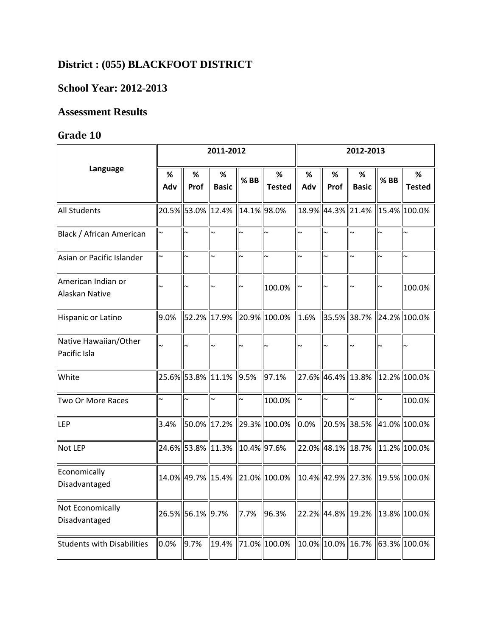## **District : (055) BLACKFOOT DISTRICT**

## **School Year: 2012-2013**

## **Assessment Results**

## **Grade 10**

|                                       | 2011-2012             |                   |                      |            |                    |          | 2012-2013                            |                   |                       |                                |  |  |
|---------------------------------------|-----------------------|-------------------|----------------------|------------|--------------------|----------|--------------------------------------|-------------------|-----------------------|--------------------------------|--|--|
| Language                              | ℅<br>Adv              | ℅<br>Prof         | $\%$<br><b>Basic</b> | %BB        | %<br><b>Tested</b> | %<br>Adv | %<br>Prof                            | %<br><b>Basic</b> | %BB                   | ℅<br><b>Tested</b>             |  |  |
| <b>All Students</b>                   |                       | 20.5% 53.0% 12.4% |                      | 14.1%98.0% |                    |          |                                      |                   |                       | 18.9% 44.3% 21.4% 15.4% 100.0% |  |  |
| Black / African American              | $\sim$                |                   | $\sim$               | $\sim$     | $\sim$             | $\sim$   | $\sim$                               |                   |                       |                                |  |  |
| Asian or Pacific Islander             | $\tilde{\phantom{a}}$ | $\sim$            | $\sim$               | $\sim$     | $\sim$             | $\sim$   |                                      | $\sim$            | $\tilde{\phantom{a}}$ | $\sim$                         |  |  |
| American Indian or<br>Alaskan Native  | $\sim$                |                   | $\sim$               | $\sim$     | 100.0%             |          | $\sim$                               |                   | $\tilde{\phantom{a}}$ | 100.0%                         |  |  |
| Hispanic or Latino                    | 9.0%                  |                   | 52.2% 17.9%          |            | 20.9% 100.0%       | 1.6%     |                                      | 35.5% 38.7%       |                       | 24.2% 100.0%                   |  |  |
| Native Hawaiian/Other<br>Pacific Isla | $\sim$                |                   |                      | $\sim$     |                    |          |                                      |                   |                       |                                |  |  |
| White                                 |                       | 25.6% 53.8% 11.1% |                      | 9.5%       | 97.1%              |          | 27.6% 46.4% 13.8%                    |                   |                       | 12.2% 100.0%                   |  |  |
| <b>Two Or More Races</b>              | $\sim$                | $\sim$            | $\ddot{ }$           | $\sim$     | 100.0%             | $\sim$   |                                      | $\sim$            | $\sim$                | 100.0%                         |  |  |
| <b>LEP</b>                            | 3.4%                  | 50.0% 17.2%       |                      |            | 29.3% 100.0%       | 0.0%     |                                      | 20.5% 38.5%       |                       | 41.0% 100.0%                   |  |  |
| Not LEP                               |                       | 24.6% 53.8% 11.3% |                      |            | 10.4% 97.6%        |          | 22.0% 48.1% 18.7%                    |                   |                       | 11.2% 100.0%                   |  |  |
| Economically<br>Disadvantaged         |                       | 14.0% 49.7% 15.4% |                      |            | 21.0% 100.0%       |          | $\left  10.4\% \right  42.9\%$ 27.3% |                   |                       | 19.5% 100.0%                   |  |  |
| Not Economically<br>Disadvantaged     |                       | 26.5% 56.1% 9.7%  |                      | 7.7%       | 96.3%              |          |                                      |                   |                       | 22.2% 44.8% 19.2% 13.8% 100.0% |  |  |
| <b>Students with Disabilities</b>     | 0.0%                  | 9.7%              | 19.4%                |            | 71.0% 100.0%       |          | 10.0% 10.0% 16.7%                    |                   |                       | 63.3% 100.0%                   |  |  |

 $\sim$  10  $\mu$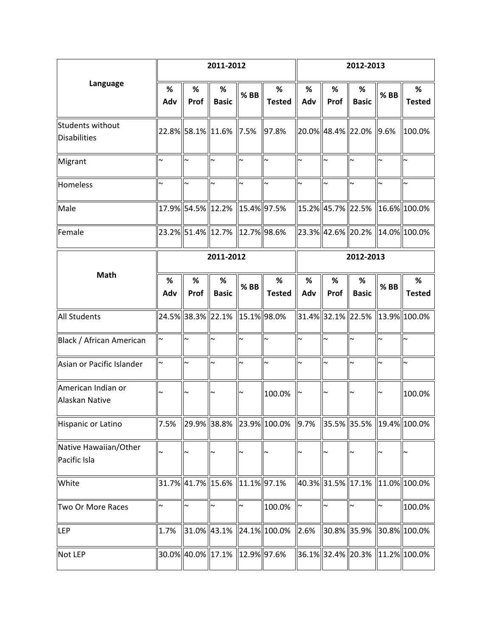|                                                |          |                       | 2011-2012                     |                       |                                                             | 2012-2013             |           |                        |        |                                |  |
|------------------------------------------------|----------|-----------------------|-------------------------------|-----------------------|-------------------------------------------------------------|-----------------------|-----------|------------------------|--------|--------------------------------|--|
| Language                                       | %<br>Adv | %<br>Prof             | %<br><b>Basic</b>             | %BB                   | %<br><b>Tested</b>                                          | %<br>Adv              | %<br>Prof | %<br><b>Basic</b>      | %BB    | %<br><b>Tested</b>             |  |
| <b>Students without</b><br><b>Disabilities</b> |          |                       | 22.8% 58.1% 11.6% 7.5%        |                       | 97.8%                                                       |                       |           | 20.0% 48.4% 22.0% 9.6% |        | 100.0%                         |  |
| Migrant                                        | $\sim$   | $\tilde{\phantom{a}}$ | $\sim$                        | $\sim$                | $\sim$                                                      | $\sim$                | ∣∼        | $\sim$                 | $\sim$ | $\sim$                         |  |
| Homeless                                       | $\sim$   | $\tilde{\phantom{a}}$ | $\sim$                        | $\sim$                | $\tilde{ }$                                                 | $\tilde{\phantom{a}}$ | ∣∼        | $\sim$                 | ∣∼     | $\sim$                         |  |
| Male                                           |          |                       | 17.9% 54.5% 12.2% 15.4% 97.5% |                       |                                                             |                       |           |                        |        | 15.2% 45.7% 22.5% 16.6% 100.0% |  |
| Female                                         |          |                       | 23.2% 51.4% 12.7% 12.7% 98.6% |                       |                                                             |                       |           |                        |        | 23.3% 42.6% 20.2% 14.0% 100.0% |  |
| Math                                           |          |                       | 2011-2012                     |                       |                                                             | 2012-2013             |           |                        |        |                                |  |
|                                                | %<br>Adv | %<br>Prof             | %<br><b>Basic</b>             | %BB                   | %<br><b>Tested</b>                                          | %<br>Adv              | %<br>Prof | %<br><b>Basic</b>      | $%$ BB | %<br><b>Tested</b>             |  |
| <b>All Students</b>                            |          |                       | 24.5% 38.3% 22.1%             | 15.1%98.0%            |                                                             |                       |           |                        |        | 31.4% 32.1% 22.5% 13.9% 100.0% |  |
| Black / African American                       | $\sim$   | $\sim$                | $\sim$                        | $\sim$                | $\sim$                                                      | $\tilde{\phantom{a}}$ | $\sim$    | $\sim$                 | $\sim$ | $\sim$                         |  |
| Asian or Pacific Islander                      | ∼        | $\tilde{\phantom{a}}$ | $\sim$                        | $\tilde{\phantom{a}}$ | $\sim$                                                      | $\sim$                | $\sim$    | $\sim$                 | $\sim$ | $\sim$                         |  |
| American Indian or<br>Alaskan Native           |          |                       |                               | $\sim$                | 100.0%                                                      |                       |           | $\sim$                 |        | 100.0%                         |  |
| Hispanic or Latino                             | 7.5%     |                       |                               |                       | $\ 29.9\%$ 38.8% 23.9% 100.0% 9.7% 35.5% 35.5% 19.4% 100.0% |                       |           |                        |        |                                |  |
| Native Hawaiian/Other<br>Pacific Isla          |          |                       |                               |                       |                                                             |                       |           |                        |        |                                |  |
| White                                          |          |                       | 31.7% 41.7% 15.6% 11.1% 97.1% |                       |                                                             |                       |           |                        |        | 40.3% 31.5% 17.1% 11.0% 100.0% |  |
| Two Or More Races                              |          |                       | $\sim$                        | $\tilde{\phantom{a}}$ | 100.0%                                                      | $\sim$                | ∣∼        |                        | ∣∼     | 100.0%                         |  |
| <b>LEP</b>                                     | 1.7%     |                       | 31.0% 43.1%                   |                       | 24.1% 100.0%                                                | 2.6%                  |           |                        |        | 30.8%  35.9%   30.8%  100.0%   |  |
| Not LEP                                        |          |                       | 30.0% 40.0% 17.1%             | 12.9% 97.6%           |                                                             |                       |           |                        |        | 36.1% 32.4% 20.3% 11.2% 100.0% |  |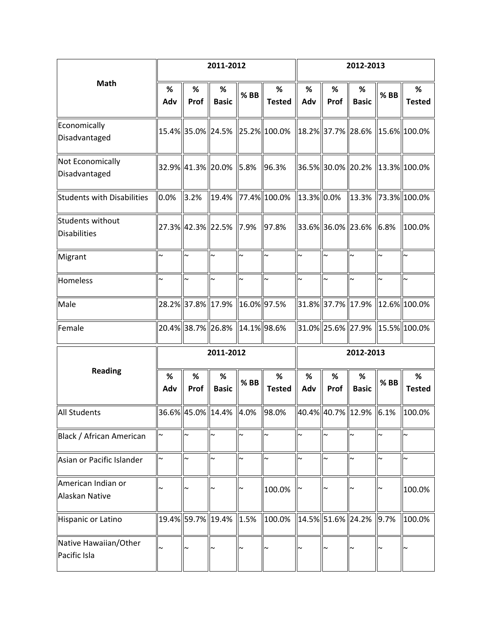|                                                | 2011-2012             |                       |                        |                       |                       |             | 2012-2013    |                            |                       |                                     |  |  |
|------------------------------------------------|-----------------------|-----------------------|------------------------|-----------------------|-----------------------|-------------|--------------|----------------------------|-----------------------|-------------------------------------|--|--|
| Math                                           | $\%$<br>Adv           | %<br>Prof             | $\%$<br><b>Basic</b>   | $%$ BB                | %<br><b>Tested</b>    | %<br>Adv    | %<br>Prof    | $\%$<br><b>Basic</b>       | %BB                   | %<br><b>Tested</b>                  |  |  |
| Economically<br>Disadvantaged                  |                       | 15.4% 35.0% 24.5%     |                        |                       | 25.2% 100.0%          |             |              |                            |                       | 18.2%  37.7%  28.6%   15.6%  100.0% |  |  |
| Not Economically<br>Disadvantaged              |                       | 32.9% 41.3% 20.0%     |                        | 5.8%                  | 96.3%                 |             |              |                            |                       | 36.5%  30.0%  20.2%   13.3%  100.0% |  |  |
| <b>Students with Disabilities</b>              | 0.0%                  | 3.2%                  | 19.4%                  |                       | 77.4% 100.0%          | 13.3% 0.0%  |              |                            |                       | 13.3%   73.3%  100.0%               |  |  |
| <b>Students without</b><br><b>Disabilities</b> |                       | 27.3% 42.3% 22.5%     |                        | 7.9%                  | 97.8%                 |             |              | 33.6%  36.0%  23.6%   6.8% |                       | 100.0%                              |  |  |
| Migrant                                        | $\sim$                | $\sim$                | $\sim$                 | $\sim$                | ∼                     | $\sim$      | $\sim$       | $\sim$                     | $\sim$                | $\sim$                              |  |  |
| Homeless                                       | $\sim$                | $\tilde{\phantom{a}}$ | $\sim$                 | $\sim$                | $\sim$                | $\sim$      | $\sim$       | $\tilde{\phantom{a}}$      | $\sim$                | $\sim$                              |  |  |
| Male                                           |                       | 28.2% 37.8% 17.9%     |                        | 16.0%97.5%            |                       |             |              |                            |                       | $31.8\%$ 37.7% 17.9% 12.6% 100.0%   |  |  |
| Female                                         |                       | 20.4% 38.7% 26.8%     |                        |                       | 14.1%98.6%            |             |              |                            |                       | $31.0\%$ 25.6% 27.9% 15.5% 100.0%   |  |  |
|                                                |                       |                       | 2011-2012              |                       |                       |             |              | 2012-2013                  |                       |                                     |  |  |
| <b>Reading</b>                                 | %<br>Adv              | $\%$<br>Prof          | %<br><b>Basic</b>      | %BB                   | $\%$<br><b>Tested</b> | $\%$<br>Adv | $\%$<br>Prof | %<br><b>Basic</b>          | %BB                   | %<br><b>Tested</b>                  |  |  |
| <b>All Students</b>                            |                       |                       | 36.6% 45.0% 14.4% 4.0% |                       | 98.0%                 |             |              | 40.4% 40.7% 12.9% 6.1%     |                       | 100.0%                              |  |  |
| Black / African American                       | $\sim$                | $\sim$                | $\sim$                 | $\sim$                | $\sim$                | $\sim$      | $\sim$       | $\sim$                     | $\sim$                | $\sim$                              |  |  |
| Asian or Pacific Islander                      | $\tilde{\phantom{a}}$ | $\tilde{\phantom{a}}$ | $\tilde{\phantom{a}}$  | $\tilde{\phantom{a}}$ | ∼                     |             | N            |                            | $\tilde{\phantom{a}}$ | $\sim$                              |  |  |
| American Indian or<br>Alaskan Native           |                       |                       |                        |                       | 100.0%                |             |              |                            |                       | 100.0%                              |  |  |
| Hispanic or Latino                             |                       | 19.4% 59.7% 19.4%     |                        | 1.5%                  | 100.0%                |             |              | 14.5%  51.6%  24.2%  9.7%  |                       | 100.0%                              |  |  |
| Native Hawaiian/Other<br>Pacific Isla          | $\sim$                |                       |                        | $\sim$                |                       |             |              |                            |                       |                                     |  |  |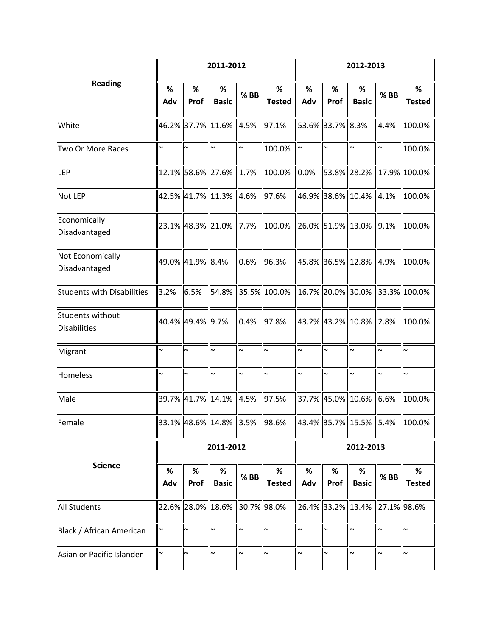|                                                |                       | 2011-2012         |                        | 2012-2013 |                    |           |                  |                               |        |                    |  |
|------------------------------------------------|-----------------------|-------------------|------------------------|-----------|--------------------|-----------|------------------|-------------------------------|--------|--------------------|--|
| <b>Reading</b>                                 | %<br>Adv              | %<br>Prof         | %<br><b>Basic</b>      | $%$ BB    | %<br><b>Tested</b> | %<br>Adv  | %<br>Prof        | %<br><b>Basic</b>             | %BB    | %<br><b>Tested</b> |  |
| White                                          |                       | 46.2% 37.7% 11.6% |                        | 4.5%      | 97.1%              |           | 53.6% 33.7% 8.3% |                               | 4.4%   | 100.0%             |  |
| Two Or More Races                              | $\tilde{\phantom{a}}$ | $\sim$            | $\sim$                 | $\sim$    | 100.0%             | $\sim$    | ∣∼               | $\sim$                        | $\sim$ | 100.0%             |  |
| LEP                                            |                       | 12.1% 58.6% 27.6% |                        | 1.7%      | 100.0%             | 0.0%      |                  | 53.8% 28.2%                   |        | 17.9% 100.0%       |  |
| Not LEP                                        |                       | 42.5% 41.7% 11.3% |                        | 4.6%      | 97.6%              |           |                  | 46.9% 38.6% 10.4% 4.1%        |        | 100.0%             |  |
| Economically<br>Disadvantaged                  |                       | 23.1% 48.3% 21.0% |                        | 7.7%      | 100.0%             |           |                  | 26.0%  51.9%  13.0%   9.1%    |        | 100.0%             |  |
| Not Economically<br>Disadvantaged              |                       | 49.0% 41.9% 8.4%  |                        | 0.6%      | 96.3%              |           |                  | 45.8%  36.5%  12.8%   4.9%    |        | 100.0%             |  |
| <b>Students with Disabilities</b>              | 3.2%                  | 6.5%              | 54.8%                  |           | 35.5% 100.0%       |           |                  | 16.7% 20.0% 30.0%             |        | 33.3% 100.0%       |  |
| <b>Students without</b><br><b>Disabilities</b> |                       | 40.4% 49.4% 9.7%  |                        | 0.4%      | 97.8%              |           |                  | 43.2%  43.2%  10.8%   2.8%    |        | 100.0%             |  |
| Migrant                                        | $\sim$                | $\sim$            | $\sim$                 | $\sim$    | $\sim$             | $\sim$    | $\sim$           | $\sim$                        | ∣∼     | ∣∼                 |  |
| Homeless                                       | $\tilde{\phantom{a}}$ | $\sim$            | $\sim$                 | $\sim$    | $\sim$             | $\sim$    | $\sim$           | $\sim$                        | $\sim$ | $\sim$             |  |
| Male                                           |                       | 39.7% 41.7% 14.1% |                        | 4.5%      | 97.5%              |           |                  | 37.7%  45.0%  10.6%   6.6%    |        | 100.0%             |  |
| Female                                         |                       |                   | 33.1% 48.6% 14.8% 3.5% |           | 98.6%              |           |                  | 43.4%  35.7%  15.5%   5.4%    |        | 100.0%             |  |
| <b>Science</b>                                 |                       |                   | 2011-2012              |           |                    | 2012-2013 |                  |                               |        |                    |  |
|                                                | %<br>Adv              | $\%$<br>Prof      | %<br><b>Basic</b>      | %BB       | %<br><b>Tested</b> | %<br>Adv  | %<br>Prof        | %<br><b>Basic</b>             | %BB    | %<br><b>Tested</b> |  |
| <b>All Students</b>                            |                       |                   | 22.6% 28.0% 18.6%      |           | 30.7%98.0%         |           |                  | 26.4% 33.2% 13.4% 27.1% 98.6% |        |                    |  |
| Black / African American                       | $\sim$                | $\sim$            | $\sim$                 | $\sim$    | ∼                  | $\sim$    | $\sim$           |                               | $\sim$ | $\sim$             |  |
| Asian or Pacific Islander                      | $\sim$                | $\sim$            | $\sim$                 | $\sim$    | $\sim$             | $\sim$    | $\sim$           | $\sim$                        | $\sim$ | $\sim$             |  |